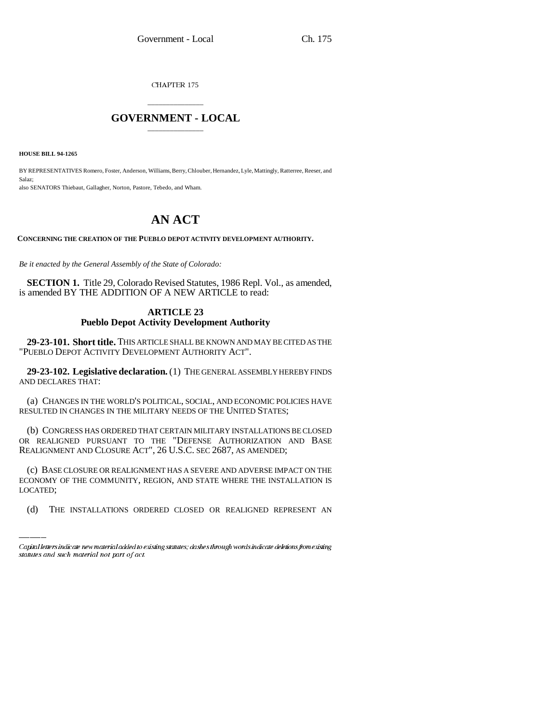CHAPTER 175

### \_\_\_\_\_\_\_\_\_\_\_\_\_\_\_ **GOVERNMENT - LOCAL** \_\_\_\_\_\_\_\_\_\_\_\_\_\_\_

**HOUSE BILL 94-1265**

BY REPRESENTATIVES Romero, Foster, Anderson, Williams, Berry, Chlouber, Hernandez, Lyle, Mattingly, Ratterree, Reeser, and Salaz; also SENATORS Thiebaut, Gallagher, Norton, Pastore, Tebedo, and Wham.

# **AN ACT**

**CONCERNING THE CREATION OF THE PUEBLO DEPOT ACTIVITY DEVELOPMENT AUTHORITY.**

*Be it enacted by the General Assembly of the State of Colorado:*

**SECTION 1.** Title 29, Colorado Revised Statutes, 1986 Repl. Vol., as amended, is amended BY THE ADDITION OF A NEW ARTICLE to read:

#### **ARTICLE 23 Pueblo Depot Activity Development Authority**

**29-23-101. Short title.** THIS ARTICLE SHALL BE KNOWN AND MAY BE CITED AS THE "PUEBLO DEPOT ACTIVITY DEVELOPMENT AUTHORITY ACT".

**29-23-102. Legislative declaration.** (1) THE GENERAL ASSEMBLY HEREBY FINDS AND DECLARES THAT:

(a) CHANGES IN THE WORLD'S POLITICAL, SOCIAL, AND ECONOMIC POLICIES HAVE RESULTED IN CHANGES IN THE MILITARY NEEDS OF THE UNITED STATES;

(b) CONGRESS HAS ORDERED THAT CERTAIN MILITARY INSTALLATIONS BE CLOSED OR REALIGNED PURSUANT TO THE "DEFENSE AUTHORIZATION AND BASE REALIGNMENT AND CLOSURE ACT", 26 U.S.C. SEC 2687, AS AMENDED;

(c) BASE CLOSURE OR REALIGNMENT HAS A SEVERE AND ADVERSE IMPACT ON THE ECONOMY OF THE COMMUNITY, REGION, AND STATE WHERE THE INSTALLATION IS LOCATED;

(d) THE INSTALLATIONS ORDERED CLOSED OR REALIGNED REPRESENT AN

Capital letters indicate new material added to existing statutes; dashes through words indicate deletions from existing statutes and such material not part of act.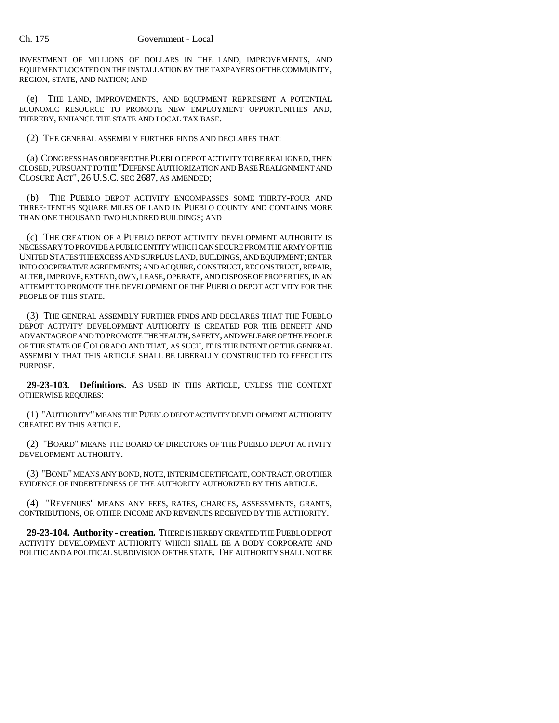INVESTMENT OF MILLIONS OF DOLLARS IN THE LAND, IMPROVEMENTS, AND EQUIPMENT LOCATED ON THE INSTALLATION BY THE TAXPAYERS OF THE COMMUNITY, REGION, STATE, AND NATION; AND

(e) THE LAND, IMPROVEMENTS, AND EQUIPMENT REPRESENT A POTENTIAL ECONOMIC RESOURCE TO PROMOTE NEW EMPLOYMENT OPPORTUNITIES AND, THEREBY, ENHANCE THE STATE AND LOCAL TAX BASE.

(2) THE GENERAL ASSEMBLY FURTHER FINDS AND DECLARES THAT:

(a) CONGRESS HAS ORDERED THE PUEBLO DEPOT ACTIVITY TO BE REALIGNED, THEN CLOSED, PURSUANT TO THE "DEFENSE AUTHORIZATION AND BASE REALIGNMENT AND CLOSURE ACT", 26 U.S.C. SEC 2687, AS AMENDED;

(b) THE PUEBLO DEPOT ACTIVITY ENCOMPASSES SOME THIRTY-FOUR AND THREE-TENTHS SQUARE MILES OF LAND IN PUEBLO COUNTY AND CONTAINS MORE THAN ONE THOUSAND TWO HUNDRED BUILDINGS; AND

(c) THE CREATION OF A PUEBLO DEPOT ACTIVITY DEVELOPMENT AUTHORITY IS NECESSARY TO PROVIDE A PUBLIC ENTITY WHICH CAN SECURE FROM THE ARMY OF THE UNITED STATES THE EXCESS AND SURPLUS LAND, BUILDINGS, AND EQUIPMENT; ENTER INTO COOPERATIVE AGREEMENTS; AND ACQUIRE, CONSTRUCT, RECONSTRUCT, REPAIR, ALTER, IMPROVE, EXTEND, OWN, LEASE, OPERATE, AND DISPOSE OF PROPERTIES, IN AN ATTEMPT TO PROMOTE THE DEVELOPMENT OF THE PUEBLO DEPOT ACTIVITY FOR THE PEOPLE OF THIS STATE.

(3) THE GENERAL ASSEMBLY FURTHER FINDS AND DECLARES THAT THE PUEBLO DEPOT ACTIVITY DEVELOPMENT AUTHORITY IS CREATED FOR THE BENEFIT AND ADVANTAGE OF AND TO PROMOTE THE HEALTH, SAFETY, AND WELFARE OF THE PEOPLE OF THE STATE OF COLORADO AND THAT, AS SUCH, IT IS THE INTENT OF THE GENERAL ASSEMBLY THAT THIS ARTICLE SHALL BE LIBERALLY CONSTRUCTED TO EFFECT ITS PURPOSE.

**29-23-103. Definitions.** AS USED IN THIS ARTICLE, UNLESS THE CONTEXT OTHERWISE REQUIRES:

(1) "AUTHORITY" MEANS THE PUEBLO DEPOT ACTIVITY DEVELOPMENT AUTHORITY CREATED BY THIS ARTICLE.

(2) "BOARD" MEANS THE BOARD OF DIRECTORS OF THE PUEBLO DEPOT ACTIVITY DEVELOPMENT AUTHORITY.

(3) "BOND" MEANS ANY BOND, NOTE, INTERIM CERTIFICATE, CONTRACT, OR OTHER EVIDENCE OF INDEBTEDNESS OF THE AUTHORITY AUTHORIZED BY THIS ARTICLE.

(4) "REVENUES" MEANS ANY FEES, RATES, CHARGES, ASSESSMENTS, GRANTS, CONTRIBUTIONS, OR OTHER INCOME AND REVENUES RECEIVED BY THE AUTHORITY.

**29-23-104. Authority - creation.** THERE IS HEREBY CREATED THE PUEBLO DEPOT ACTIVITY DEVELOPMENT AUTHORITY WHICH SHALL BE A BODY CORPORATE AND POLITIC AND A POLITICAL SUBDIVISION OF THE STATE. THE AUTHORITY SHALL NOT BE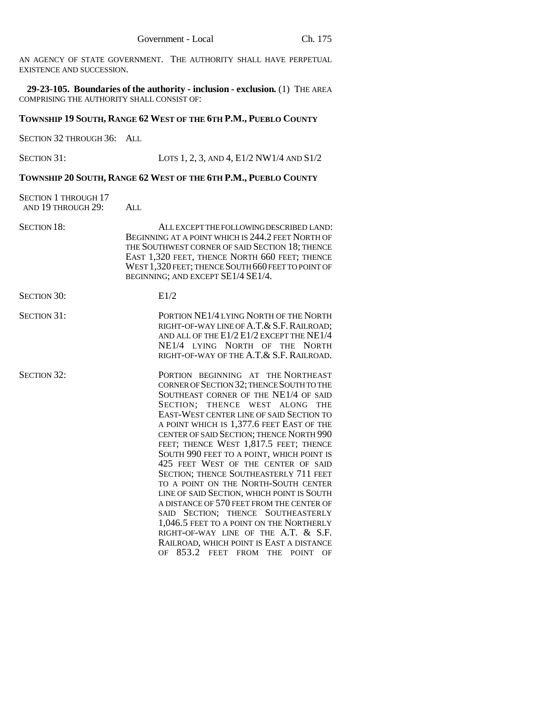AN AGENCY OF STATE GOVERNMENT. THE AUTHORITY SHALL HAVE PERPETUAL EXISTENCE AND SUCCESSION.

**29-23-105. Boundaries of the authority - inclusion - exclusion.** (1) THE AREA COMPRISING THE AUTHORITY SHALL CONSIST OF:

### **TOWNSHIP 19 SOUTH, RANGE 62 WEST OF THE 6TH P.M., PUEBLO COUNTY**

SECTION 32 THROUGH 36: ALL

SECTION 31: LOTS 1, 2, 3, AND 4, E1/2 NW1/4 AND S1/2

## **TOWNSHIP 20 SOUTH, RANGE 62 WEST OF THE 6TH P.M., PUEBLO COUNTY**

| <b>SECTION 1 THROUGH 17</b><br>AND 19 THROUGH 29: | ALL                                                                                                                                                                                                                                                                                                                                                                                                                                                                                                                                                                                                                                                                                                                                                                                                                                      |
|---------------------------------------------------|------------------------------------------------------------------------------------------------------------------------------------------------------------------------------------------------------------------------------------------------------------------------------------------------------------------------------------------------------------------------------------------------------------------------------------------------------------------------------------------------------------------------------------------------------------------------------------------------------------------------------------------------------------------------------------------------------------------------------------------------------------------------------------------------------------------------------------------|
| <b>SECTION 18:</b>                                | ALL EXCEPT THE FOLLOWING DESCRIBED LAND:<br>BEGINNING AT A POINT WHICH IS 244.2 FEET NORTH OF<br>THE SOUTHWEST CORNER OF SAID SECTION 18; THENCE<br>EAST 1,320 FEET, THENCE NORTH 660 FEET; THENCE<br>WEST 1,320 FEET; THENCE SOUTH 660 FEET TO POINT OF<br>BEGINNING; AND EXCEPT SE1/4 SE1/4.                                                                                                                                                                                                                                                                                                                                                                                                                                                                                                                                           |
| <b>SECTION 30:</b>                                | E1/2                                                                                                                                                                                                                                                                                                                                                                                                                                                                                                                                                                                                                                                                                                                                                                                                                                     |
| <b>SECTION 31:</b>                                | PORTION NE1/4 LYING NORTH OF THE NORTH<br>RIGHT-OF-WAY LINE OF A.T. & S.F. RAILROAD;<br>AND ALL OF THE $E1/2 E1/2 EXCEPT$ THE $NE1/4$<br>NE1/4 LYING NORTH OF THE NORTH<br>RIGHT-OF-WAY OF THE A.T. & S.F. RAILROAD.                                                                                                                                                                                                                                                                                                                                                                                                                                                                                                                                                                                                                     |
| <b>SECTION 32:</b>                                | PORTION BEGINNING AT THE NORTHEAST<br>CORNER OF SECTION 32; THENCE SOUTH TO THE<br>SOUTHEAST CORNER OF THE NE1/4 OF SAID<br>SECTION; THENCE WEST ALONG<br><b>THE</b><br>EAST-WEST CENTER LINE OF SAID SECTION TO<br>A POINT WHICH IS 1,377.6 FEET EAST OF THE<br>CENTER OF SAID SECTION; THENCE NORTH 990<br>FEET; THENCE WEST 1,817.5 FEET; THENCE<br>SOUTH 990 FEET TO A POINT, WHICH POINT IS<br>425 FEET WEST OF THE CENTER OF SAID<br>SECTION; THENCE SOUTHEASTERLY 711 FEET<br>TO A POINT ON THE NORTH-SOUTH CENTER<br>LINE OF SAID SECTION, WHICH POINT IS SOUTH<br>A DISTANCE OF 570 FEET FROM THE CENTER OF<br>SAID SECTION; THENCE SOUTHEASTERLY<br>1,046.5 FEET TO A POINT ON THE NORTHERLY<br>RIGHT-OF-WAY LINE OF THE A.T. & S.F.<br>RAILROAD, WHICH POINT IS EAST A DISTANCE<br>853.2<br>FEET FROM THE POINT<br>OF<br>- OF |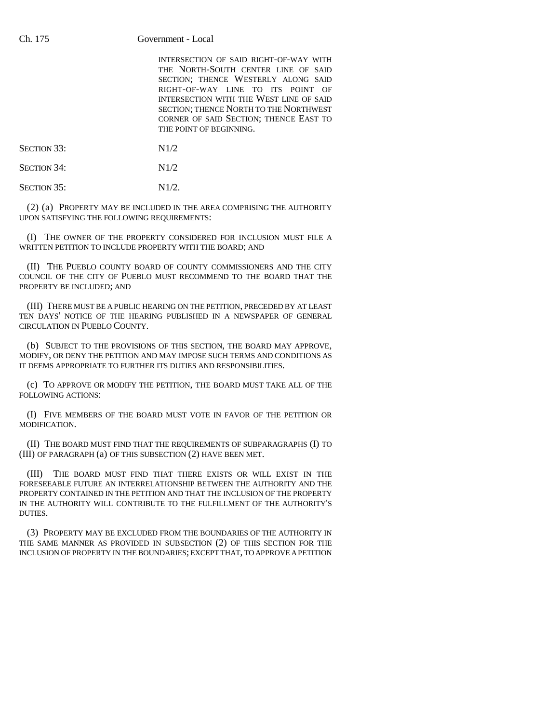INTERSECTION OF SAID RIGHT-OF-WAY WITH THE NORTH-SOUTH CENTER LINE OF SAID SECTION; THENCE WESTERLY ALONG SAID RIGHT-OF-WAY LINE TO ITS POINT OF INTERSECTION WITH THE WEST LINE OF SAID SECTION; THENCE NORTH TO THE NORTHWEST CORNER OF SAID SECTION; THENCE EAST TO THE POINT OF BEGINNING.

SECTION 33: N1/2

SECTION 34: N1/2

 $SECTION 35: N1/2.$ 

(2) (a) PROPERTY MAY BE INCLUDED IN THE AREA COMPRISING THE AUTHORITY UPON SATISFYING THE FOLLOWING REQUIREMENTS:

(I) THE OWNER OF THE PROPERTY CONSIDERED FOR INCLUSION MUST FILE A WRITTEN PETITION TO INCLUDE PROPERTY WITH THE BOARD; AND

(II) THE PUEBLO COUNTY BOARD OF COUNTY COMMISSIONERS AND THE CITY COUNCIL OF THE CITY OF PUEBLO MUST RECOMMEND TO THE BOARD THAT THE PROPERTY BE INCLUDED; AND

(III) THERE MUST BE A PUBLIC HEARING ON THE PETITION, PRECEDED BY AT LEAST TEN DAYS' NOTICE OF THE HEARING PUBLISHED IN A NEWSPAPER OF GENERAL CIRCULATION IN PUEBLO COUNTY.

(b) SUBJECT TO THE PROVISIONS OF THIS SECTION, THE BOARD MAY APPROVE, MODIFY, OR DENY THE PETITION AND MAY IMPOSE SUCH TERMS AND CONDITIONS AS IT DEEMS APPROPRIATE TO FURTHER ITS DUTIES AND RESPONSIBILITIES.

(c) TO APPROVE OR MODIFY THE PETITION, THE BOARD MUST TAKE ALL OF THE FOLLOWING ACTIONS:

(I) FIVE MEMBERS OF THE BOARD MUST VOTE IN FAVOR OF THE PETITION OR MODIFICATION.

(II) THE BOARD MUST FIND THAT THE REQUIREMENTS OF SUBPARAGRAPHS (I) TO (III) OF PARAGRAPH (a) OF THIS SUBSECTION (2) HAVE BEEN MET.

(III) THE BOARD MUST FIND THAT THERE EXISTS OR WILL EXIST IN THE FORESEEABLE FUTURE AN INTERRELATIONSHIP BETWEEN THE AUTHORITY AND THE PROPERTY CONTAINED IN THE PETITION AND THAT THE INCLUSION OF THE PROPERTY IN THE AUTHORITY WILL CONTRIBUTE TO THE FULFILLMENT OF THE AUTHORITY'S DUTIES.

(3) PROPERTY MAY BE EXCLUDED FROM THE BOUNDARIES OF THE AUTHORITY IN THE SAME MANNER AS PROVIDED IN SUBSECTION (2) OF THIS SECTION FOR THE INCLUSION OF PROPERTY IN THE BOUNDARIES; EXCEPT THAT, TO APPROVE A PETITION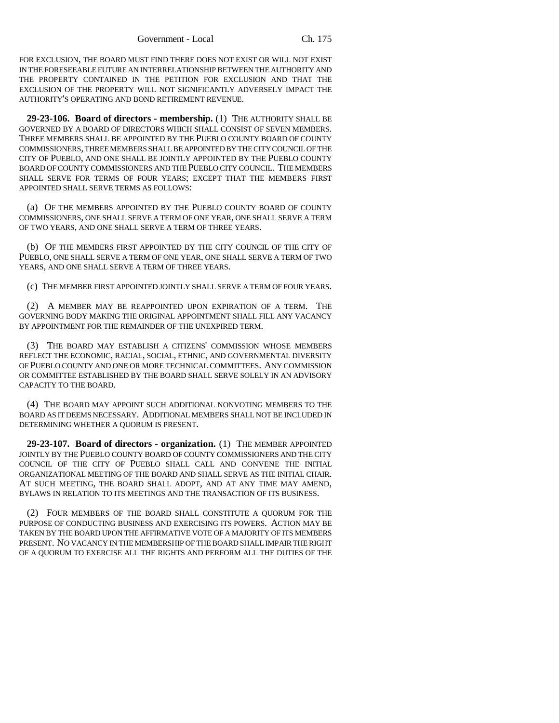FOR EXCLUSION, THE BOARD MUST FIND THERE DOES NOT EXIST OR WILL NOT EXIST IN THE FORESEEABLE FUTURE AN INTERRELATIONSHIP BETWEEN THE AUTHORITY AND THE PROPERTY CONTAINED IN THE PETITION FOR EXCLUSION AND THAT THE EXCLUSION OF THE PROPERTY WILL NOT SIGNIFICANTLY ADVERSELY IMPACT THE AUTHORITY'S OPERATING AND BOND RETIREMENT REVENUE.

**29-23-106. Board of directors - membership.** (1) THE AUTHORITY SHALL BE GOVERNED BY A BOARD OF DIRECTORS WHICH SHALL CONSIST OF SEVEN MEMBERS. THREE MEMBERS SHALL BE APPOINTED BY THE PUEBLO COUNTY BOARD OF COUNTY COMMISSIONERS, THREE MEMBERS SHALL BE APPOINTED BY THE CITY COUNCIL OF THE CITY OF PUEBLO, AND ONE SHALL BE JOINTLY APPOINTED BY THE PUEBLO COUNTY BOARD OF COUNTY COMMISSIONERS AND THE PUEBLO CITY COUNCIL. THE MEMBERS SHALL SERVE FOR TERMS OF FOUR YEARS; EXCEPT THAT THE MEMBERS FIRST APPOINTED SHALL SERVE TERMS AS FOLLOWS:

(a) OF THE MEMBERS APPOINTED BY THE PUEBLO COUNTY BOARD OF COUNTY COMMISSIONERS, ONE SHALL SERVE A TERM OF ONE YEAR, ONE SHALL SERVE A TERM OF TWO YEARS, AND ONE SHALL SERVE A TERM OF THREE YEARS.

(b) OF THE MEMBERS FIRST APPOINTED BY THE CITY COUNCIL OF THE CITY OF PUEBLO, ONE SHALL SERVE A TERM OF ONE YEAR, ONE SHALL SERVE A TERM OF TWO YEARS, AND ONE SHALL SERVE A TERM OF THREE YEARS.

(c) THE MEMBER FIRST APPOINTED JOINTLY SHALL SERVE A TERM OF FOUR YEARS.

(2) A MEMBER MAY BE REAPPOINTED UPON EXPIRATION OF A TERM. THE GOVERNING BODY MAKING THE ORIGINAL APPOINTMENT SHALL FILL ANY VACANCY BY APPOINTMENT FOR THE REMAINDER OF THE UNEXPIRED TERM.

(3) THE BOARD MAY ESTABLISH A CITIZENS' COMMISSION WHOSE MEMBERS REFLECT THE ECONOMIC, RACIAL, SOCIAL, ETHNIC, AND GOVERNMENTAL DIVERSITY OF PUEBLO COUNTY AND ONE OR MORE TECHNICAL COMMITTEES. ANY COMMISSION OR COMMITTEE ESTABLISHED BY THE BOARD SHALL SERVE SOLELY IN AN ADVISORY CAPACITY TO THE BOARD.

(4) THE BOARD MAY APPOINT SUCH ADDITIONAL NONVOTING MEMBERS TO THE BOARD AS IT DEEMS NECESSARY. ADDITIONAL MEMBERS SHALL NOT BE INCLUDED IN DETERMINING WHETHER A QUORUM IS PRESENT.

**29-23-107. Board of directors - organization.** (1) THE MEMBER APPOINTED JOINTLY BY THE PUEBLO COUNTY BOARD OF COUNTY COMMISSIONERS AND THE CITY COUNCIL OF THE CITY OF PUEBLO SHALL CALL AND CONVENE THE INITIAL ORGANIZATIONAL MEETING OF THE BOARD AND SHALL SERVE AS THE INITIAL CHAIR. AT SUCH MEETING, THE BOARD SHALL ADOPT, AND AT ANY TIME MAY AMEND, BYLAWS IN RELATION TO ITS MEETINGS AND THE TRANSACTION OF ITS BUSINESS.

(2) FOUR MEMBERS OF THE BOARD SHALL CONSTITUTE A QUORUM FOR THE PURPOSE OF CONDUCTING BUSINESS AND EXERCISING ITS POWERS. ACTION MAY BE TAKEN BY THE BOARD UPON THE AFFIRMATIVE VOTE OF A MAJORITY OF ITS MEMBERS PRESENT. NO VACANCY IN THE MEMBERSHIP OF THE BOARD SHALL IMPAIR THE RIGHT OF A QUORUM TO EXERCISE ALL THE RIGHTS AND PERFORM ALL THE DUTIES OF THE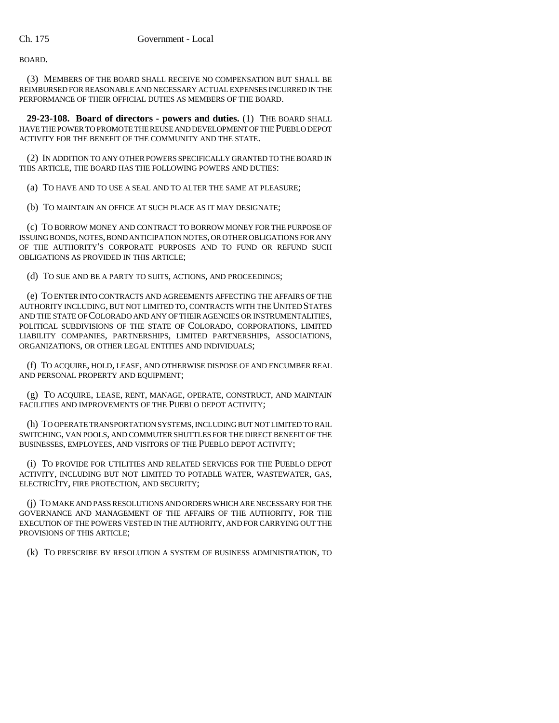BOARD.

(3) MEMBERS OF THE BOARD SHALL RECEIVE NO COMPENSATION BUT SHALL BE REIMBURSED FOR REASONABLE AND NECESSARY ACTUAL EXPENSES INCURRED IN THE PERFORMANCE OF THEIR OFFICIAL DUTIES AS MEMBERS OF THE BOARD.

**29-23-108. Board of directors - powers and duties.** (1) THE BOARD SHALL HAVE THE POWER TO PROMOTE THE REUSE AND DEVELOPMENT OF THE PUEBLO DEPOT ACTIVITY FOR THE BENEFIT OF THE COMMUNITY AND THE STATE.

(2) IN ADDITION TO ANY OTHER POWERS SPECIFICALLY GRANTED TO THE BOARD IN THIS ARTICLE, THE BOARD HAS THE FOLLOWING POWERS AND DUTIES:

(a) TO HAVE AND TO USE A SEAL AND TO ALTER THE SAME AT PLEASURE;

(b) TO MAINTAIN AN OFFICE AT SUCH PLACE AS IT MAY DESIGNATE;

(c) TO BORROW MONEY AND CONTRACT TO BORROW MONEY FOR THE PURPOSE OF ISSUING BONDS, NOTES, BOND ANTICIPATION NOTES, OR OTHER OBLIGATIONS FOR ANY OF THE AUTHORITY'S CORPORATE PURPOSES AND TO FUND OR REFUND SUCH OBLIGATIONS AS PROVIDED IN THIS ARTICLE;

(d) TO SUE AND BE A PARTY TO SUITS, ACTIONS, AND PROCEEDINGS;

(e) TO ENTER INTO CONTRACTS AND AGREEMENTS AFFECTING THE AFFAIRS OF THE AUTHORITY INCLUDING, BUT NOT LIMITED TO, CONTRACTS WITH THE UNITED STATES AND THE STATE OF COLORADO AND ANY OF THEIR AGENCIES OR INSTRUMENTALITIES, POLITICAL SUBDIVISIONS OF THE STATE OF COLORADO, CORPORATIONS, LIMITED LIABILITY COMPANIES, PARTNERSHIPS, LIMITED PARTNERSHIPS, ASSOCIATIONS, ORGANIZATIONS, OR OTHER LEGAL ENTITIES AND INDIVIDUALS;

(f) TO ACQUIRE, HOLD, LEASE, AND OTHERWISE DISPOSE OF AND ENCUMBER REAL AND PERSONAL PROPERTY AND EQUIPMENT;

(g) TO ACQUIRE, LEASE, RENT, MANAGE, OPERATE, CONSTRUCT, AND MAINTAIN FACILITIES AND IMPROVEMENTS OF THE PUEBLO DEPOT ACTIVITY;

(h) TO OPERATE TRANSPORTATION SYSTEMS, INCLUDING BUT NOT LIMITED TO RAIL SWITCHING, VAN POOLS, AND COMMUTER SHUTTLES FOR THE DIRECT BENEFIT OF THE BUSINESSES, EMPLOYEES, AND VISITORS OF THE PUEBLO DEPOT ACTIVITY;

(i) TO PROVIDE FOR UTILITIES AND RELATED SERVICES FOR THE PUEBLO DEPOT ACTIVITY, INCLUDING BUT NOT LIMITED TO POTABLE WATER, WASTEWATER, GAS, ELECTRICITY, FIRE PROTECTION, AND SECURITY;

(j) TO MAKE AND PASS RESOLUTIONS AND ORDERS WHICH ARE NECESSARY FOR THE GOVERNANCE AND MANAGEMENT OF THE AFFAIRS OF THE AUTHORITY, FOR THE EXECUTION OF THE POWERS VESTED IN THE AUTHORITY, AND FOR CARRYING OUT THE PROVISIONS OF THIS ARTICLE;

(k) TO PRESCRIBE BY RESOLUTION A SYSTEM OF BUSINESS ADMINISTRATION, TO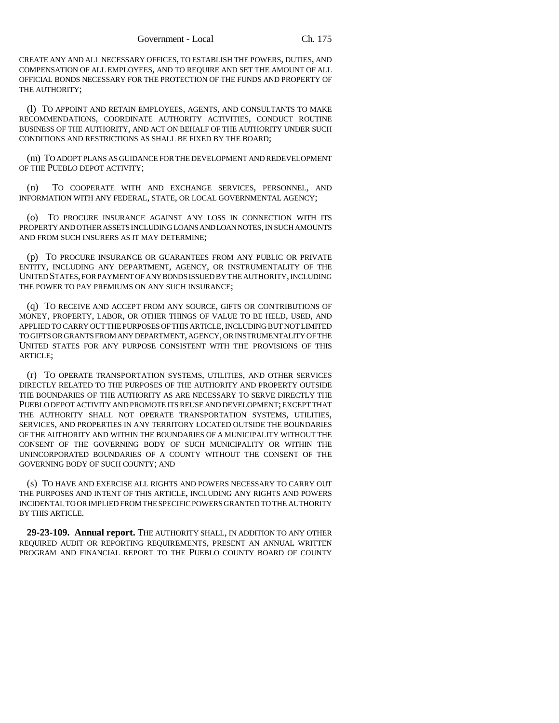CREATE ANY AND ALL NECESSARY OFFICES, TO ESTABLISH THE POWERS, DUTIES, AND COMPENSATION OF ALL EMPLOYEES, AND TO REQUIRE AND SET THE AMOUNT OF ALL OFFICIAL BONDS NECESSARY FOR THE PROTECTION OF THE FUNDS AND PROPERTY OF THE AUTHORITY;

(l) TO APPOINT AND RETAIN EMPLOYEES, AGENTS, AND CONSULTANTS TO MAKE RECOMMENDATIONS, COORDINATE AUTHORITY ACTIVITIES, CONDUCT ROUTINE BUSINESS OF THE AUTHORITY, AND ACT ON BEHALF OF THE AUTHORITY UNDER SUCH CONDITIONS AND RESTRICTIONS AS SHALL BE FIXED BY THE BOARD;

(m) TO ADOPT PLANS AS GUIDANCE FOR THE DEVELOPMENT AND REDEVELOPMENT OF THE PUEBLO DEPOT ACTIVITY;

(n) TO COOPERATE WITH AND EXCHANGE SERVICES, PERSONNEL, AND INFORMATION WITH ANY FEDERAL, STATE, OR LOCAL GOVERNMENTAL AGENCY;

(o) TO PROCURE INSURANCE AGAINST ANY LOSS IN CONNECTION WITH ITS PROPERTY AND OTHER ASSETS INCLUDING LOANS AND LOAN NOTES, IN SUCH AMOUNTS AND FROM SUCH INSURERS AS IT MAY DETERMINE;

(p) TO PROCURE INSURANCE OR GUARANTEES FROM ANY PUBLIC OR PRIVATE ENTITY, INCLUDING ANY DEPARTMENT, AGENCY, OR INSTRUMENTALITY OF THE UNITED STATES, FOR PAYMENT OF ANY BONDS ISSUED BY THE AUTHORITY, INCLUDING THE POWER TO PAY PREMIUMS ON ANY SUCH INSURANCE;

(q) TO RECEIVE AND ACCEPT FROM ANY SOURCE, GIFTS OR CONTRIBUTIONS OF MONEY, PROPERTY, LABOR, OR OTHER THINGS OF VALUE TO BE HELD, USED, AND APPLIED TO CARRY OUT THE PURPOSES OF THIS ARTICLE, INCLUDING BUT NOT LIMITED TO GIFTS OR GRANTS FROM ANY DEPARTMENT, AGENCY, OR INSTRUMENTALITY OF THE UNITED STATES FOR ANY PURPOSE CONSISTENT WITH THE PROVISIONS OF THIS ARTICLE;

(r) TO OPERATE TRANSPORTATION SYSTEMS, UTILITIES, AND OTHER SERVICES DIRECTLY RELATED TO THE PURPOSES OF THE AUTHORITY AND PROPERTY OUTSIDE THE BOUNDARIES OF THE AUTHORITY AS ARE NECESSARY TO SERVE DIRECTLY THE PUEBLO DEPOT ACTIVITY AND PROMOTE ITS REUSE AND DEVELOPMENT; EXCEPT THAT THE AUTHORITY SHALL NOT OPERATE TRANSPORTATION SYSTEMS, UTILITIES, SERVICES, AND PROPERTIES IN ANY TERRITORY LOCATED OUTSIDE THE BOUNDARIES OF THE AUTHORITY AND WITHIN THE BOUNDARIES OF A MUNICIPALITY WITHOUT THE CONSENT OF THE GOVERNING BODY OF SUCH MUNICIPALITY OR WITHIN THE UNINCORPORATED BOUNDARIES OF A COUNTY WITHOUT THE CONSENT OF THE GOVERNING BODY OF SUCH COUNTY; AND

(s) TO HAVE AND EXERCISE ALL RIGHTS AND POWERS NECESSARY TO CARRY OUT THE PURPOSES AND INTENT OF THIS ARTICLE, INCLUDING ANY RIGHTS AND POWERS INCIDENTAL TO OR IMPLIED FROM THE SPECIFIC POWERS GRANTED TO THE AUTHORITY BY THIS ARTICLE.

**29-23-109. Annual report.** THE AUTHORITY SHALL, IN ADDITION TO ANY OTHER REQUIRED AUDIT OR REPORTING REQUIREMENTS, PRESENT AN ANNUAL WRITTEN PROGRAM AND FINANCIAL REPORT TO THE PUEBLO COUNTY BOARD OF COUNTY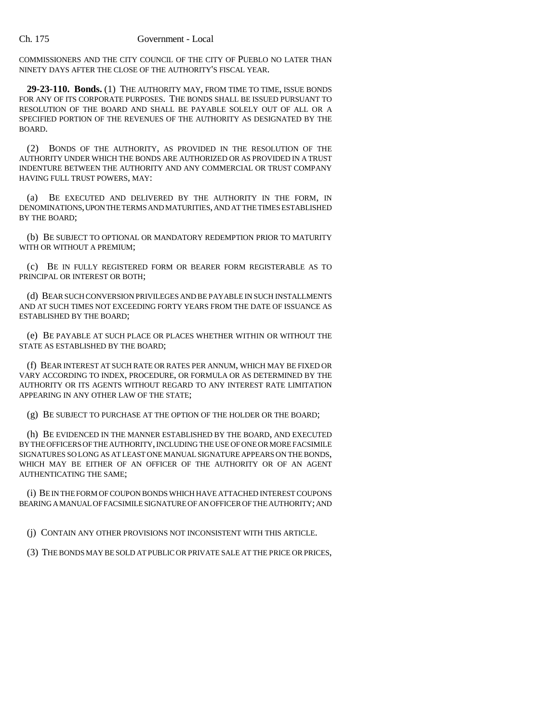#### Ch. 175 Government - Local

COMMISSIONERS AND THE CITY COUNCIL OF THE CITY OF PUEBLO NO LATER THAN NINETY DAYS AFTER THE CLOSE OF THE AUTHORITY'S FISCAL YEAR.

**29-23-110. Bonds.** (1) THE AUTHORITY MAY, FROM TIME TO TIME, ISSUE BONDS FOR ANY OF ITS CORPORATE PURPOSES. THE BONDS SHALL BE ISSUED PURSUANT TO RESOLUTION OF THE BOARD AND SHALL BE PAYABLE SOLELY OUT OF ALL OR A SPECIFIED PORTION OF THE REVENUES OF THE AUTHORITY AS DESIGNATED BY THE BOARD.

(2) BONDS OF THE AUTHORITY, AS PROVIDED IN THE RESOLUTION OF THE AUTHORITY UNDER WHICH THE BONDS ARE AUTHORIZED OR AS PROVIDED IN A TRUST INDENTURE BETWEEN THE AUTHORITY AND ANY COMMERCIAL OR TRUST COMPANY HAVING FULL TRUST POWERS, MAY:

(a) BE EXECUTED AND DELIVERED BY THE AUTHORITY IN THE FORM, IN DENOMINATIONS, UPON THE TERMS AND MATURITIES, AND AT THE TIMES ESTABLISHED BY THE BOARD;

(b) BE SUBJECT TO OPTIONAL OR MANDATORY REDEMPTION PRIOR TO MATURITY WITH OR WITHOUT A PREMIUM;

(c) BE IN FULLY REGISTERED FORM OR BEARER FORM REGISTERABLE AS TO PRINCIPAL OR INTEREST OR BOTH;

(d) BEAR SUCH CONVERSION PRIVILEGES AND BE PAYABLE IN SUCH INSTALLMENTS AND AT SUCH TIMES NOT EXCEEDING FORTY YEARS FROM THE DATE OF ISSUANCE AS ESTABLISHED BY THE BOARD;

(e) BE PAYABLE AT SUCH PLACE OR PLACES WHETHER WITHIN OR WITHOUT THE STATE AS ESTABLISHED BY THE BOARD;

(f) BEAR INTEREST AT SUCH RATE OR RATES PER ANNUM, WHICH MAY BE FIXED OR VARY ACCORDING TO INDEX, PROCEDURE, OR FORMULA OR AS DETERMINED BY THE AUTHORITY OR ITS AGENTS WITHOUT REGARD TO ANY INTEREST RATE LIMITATION APPEARING IN ANY OTHER LAW OF THE STATE;

(g) BE SUBJECT TO PURCHASE AT THE OPTION OF THE HOLDER OR THE BOARD;

(h) BE EVIDENCED IN THE MANNER ESTABLISHED BY THE BOARD, AND EXECUTED BY THE OFFICERS OF THE AUTHORITY, INCLUDING THE USE OF ONE OR MORE FACSIMILE SIGNATURES SO LONG AS AT LEAST ONE MANUAL SIGNATURE APPEARS ON THE BONDS, WHICH MAY BE EITHER OF AN OFFICER OF THE AUTHORITY OR OF AN AGENT AUTHENTICATING THE SAME;

(i) BE IN THE FORM OF COUPON BONDS WHICH HAVE ATTACHED INTEREST COUPONS BEARING A MANUAL OF FACSIMILE SIGNATURE OF AN OFFICER OF THE AUTHORITY; AND

(j) CONTAIN ANY OTHER PROVISIONS NOT INCONSISTENT WITH THIS ARTICLE.

(3) THE BONDS MAY BE SOLD AT PUBLIC OR PRIVATE SALE AT THE PRICE OR PRICES,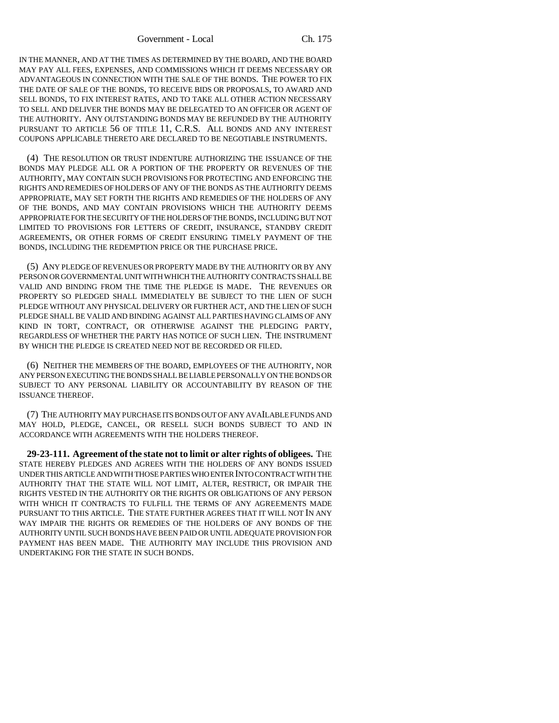IN THE MANNER, AND AT THE TIMES AS DETERMINED BY THE BOARD, AND THE BOARD MAY PAY ALL FEES, EXPENSES, AND COMMISSIONS WHICH IT DEEMS NECESSARY OR ADVANTAGEOUS IN CONNECTION WITH THE SALE OF THE BONDS. THE POWER TO FIX THE DATE OF SALE OF THE BONDS, TO RECEIVE BIDS OR PROPOSALS, TO AWARD AND SELL BONDS, TO FIX INTEREST RATES, AND TO TAKE ALL OTHER ACTION NECESSARY TO SELL AND DELIVER THE BONDS MAY BE DELEGATED TO AN OFFICER OR AGENT OF THE AUTHORITY. ANY OUTSTANDING BONDS MAY BE REFUNDED BY THE AUTHORITY PURSUANT TO ARTICLE 56 OF TITLE 11, C.R.S. ALL BONDS AND ANY INTEREST COUPONS APPLICABLE THERETO ARE DECLARED TO BE NEGOTIABLE INSTRUMENTS.

(4) THE RESOLUTION OR TRUST INDENTURE AUTHORIZING THE ISSUANCE OF THE BONDS MAY PLEDGE ALL OR A PORTION OF THE PROPERTY OR REVENUES OF THE AUTHORITY, MAY CONTAIN SUCH PROVISIONS FOR PROTECTING AND ENFORCING THE RIGHTS AND REMEDIES OF HOLDERS OF ANY OF THE BONDS AS THE AUTHORITY DEEMS APPROPRIATE, MAY SET FORTH THE RIGHTS AND REMEDIES OF THE HOLDERS OF ANY OF THE BONDS, AND MAY CONTAIN PROVISIONS WHICH THE AUTHORITY DEEMS APPROPRIATE FOR THE SECURITY OF THE HOLDERS OF THE BONDS, INCLUDING BUT NOT LIMITED TO PROVISIONS FOR LETTERS OF CREDIT, INSURANCE, STANDBY CREDIT AGREEMENTS, OR OTHER FORMS OF CREDIT ENSURING TIMELY PAYMENT OF THE BONDS, INCLUDING THE REDEMPTION PRICE OR THE PURCHASE PRICE.

(5) ANY PLEDGE OF REVENUES OR PROPERTY MADE BY THE AUTHORITY OR BY ANY PERSON OR GOVERNMENTAL UNIT WITH WHICH THE AUTHORITY CONTRACTS SHALL BE VALID AND BINDING FROM THE TIME THE PLEDGE IS MADE. THE REVENUES OR PROPERTY SO PLEDGED SHALL IMMEDIATELY BE SUBJECT TO THE LIEN OF SUCH PLEDGE WITHOUT ANY PHYSICAL DELIVERY OR FURTHER ACT, AND THE LIEN OF SUCH PLEDGE SHALL BE VALID AND BINDING AGAINST ALL PARTIES HAVING CLAIMS OF ANY KIND IN TORT, CONTRACT, OR OTHERWISE AGAINST THE PLEDGING PARTY, REGARDLESS OF WHETHER THE PARTY HAS NOTICE OF SUCH LIEN. THE INSTRUMENT BY WHICH THE PLEDGE IS CREATED NEED NOT BE RECORDED OR FILED.

(6) NEITHER THE MEMBERS OF THE BOARD, EMPLOYEES OF THE AUTHORITY, NOR ANY PERSON EXECUTING THE BONDS SHALL BE LIABLE PERSONALLY ON THE BONDS OR SUBJECT TO ANY PERSONAL LIABILITY OR ACCOUNTABILITY BY REASON OF THE ISSUANCE THEREOF.

(7) THE AUTHORITY MAY PURCHASE ITS BONDS OUT OF ANY AVAILABLE FUNDS AND MAY HOLD, PLEDGE, CANCEL, OR RESELL SUCH BONDS SUBJECT TO AND IN ACCORDANCE WITH AGREEMENTS WITH THE HOLDERS THEREOF.

**29-23-111. Agreement of the state not to limit or alter rights of obligees.** THE STATE HEREBY PLEDGES AND AGREES WITH THE HOLDERS OF ANY BONDS ISSUED UNDER THIS ARTICLE AND WITH THOSE PARTIES WHO ENTER INTO CONTRACT WITH THE AUTHORITY THAT THE STATE WILL NOT LIMIT, ALTER, RESTRICT, OR IMPAIR THE RIGHTS VESTED IN THE AUTHORITY OR THE RIGHTS OR OBLIGATIONS OF ANY PERSON WITH WHICH IT CONTRACTS TO FULFILL THE TERMS OF ANY AGREEMENTS MADE PURSUANT TO THIS ARTICLE. THE STATE FURTHER AGREES THAT IT WILL NOT IN ANY WAY IMPAIR THE RIGHTS OR REMEDIES OF THE HOLDERS OF ANY BONDS OF THE AUTHORITY UNTIL SUCH BONDS HAVE BEEN PAID OR UNTIL ADEQUATE PROVISION FOR PAYMENT HAS BEEN MADE. THE AUTHORITY MAY INCLUDE THIS PROVISION AND UNDERTAKING FOR THE STATE IN SUCH BONDS.